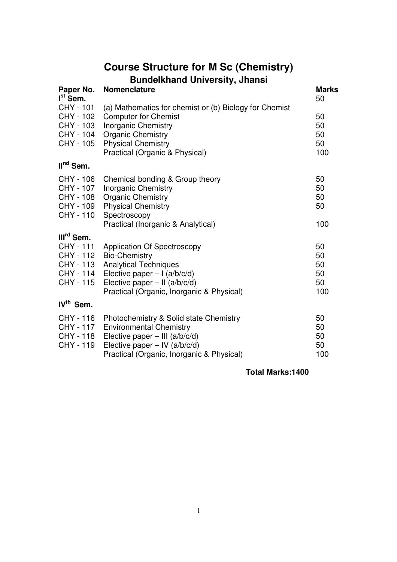# **Course Structure for M Sc (Chemistry) Bundelkhand University, Jhansi**

| Paper No.<br>I <sup>st</sup> Sem.                                                              | ,,<br><b>Nomenclature</b>                                                                                                                                                                                   | <b>Marks</b><br>50                |
|------------------------------------------------------------------------------------------------|-------------------------------------------------------------------------------------------------------------------------------------------------------------------------------------------------------------|-----------------------------------|
| CHY - 101<br>CHY - 102<br>CHY - 103<br>CHY - 104<br>CHY - 105                                  | (a) Mathematics for chemist or (b) Biology for Chemist<br><b>Computer for Chemist</b><br><b>Inorganic Chemistry</b><br><b>Organic Chemistry</b><br><b>Physical Chemistry</b>                                | 50<br>50<br>50<br>50              |
| $IInd$ Sem.                                                                                    | Practical (Organic & Physical)                                                                                                                                                                              | 100                               |
|                                                                                                |                                                                                                                                                                                                             |                                   |
| CHY - 106<br>CHY - 107<br>CHY - 108<br>CHY - 109<br>CHY - 110                                  | Chemical bonding & Group theory<br><b>Inorganic Chemistry</b><br><b>Organic Chemistry</b><br><b>Physical Chemistry</b><br>Spectroscopy<br>Practical (Inorganic & Analytical)                                | 50<br>50<br>50<br>50<br>100       |
|                                                                                                |                                                                                                                                                                                                             |                                   |
| III <sup>rd</sup> Sem.<br><b>CHY - 111</b><br>CHY - 112<br>CHY - 113<br>CHY - 114<br>CHY - 115 | <b>Application Of Spectroscopy</b><br><b>Bio-Chemistry</b><br><b>Analytical Techniques</b><br>Elective paper $-1$ (a/b/c/d)<br>Elective paper $-$ II (a/b/c/d)<br>Practical (Organic, Inorganic & Physical) | 50<br>50<br>50<br>50<br>50<br>100 |
| IV <sup>th</sup> Sem.                                                                          |                                                                                                                                                                                                             |                                   |
| CHY - 116<br><b>CHY - 117</b><br>CHY - 118<br>CHY - 119                                        | Photochemistry & Solid state Chemistry<br><b>Environmental Chemistry</b><br>Elective paper $-$ III (a/b/c/d)<br>Elective paper $-$ IV (a/b/c/d)<br>Practical (Organic, Inorganic & Physical)                | 50<br>50<br>50<br>50<br>100       |

## **Total Marks:1400**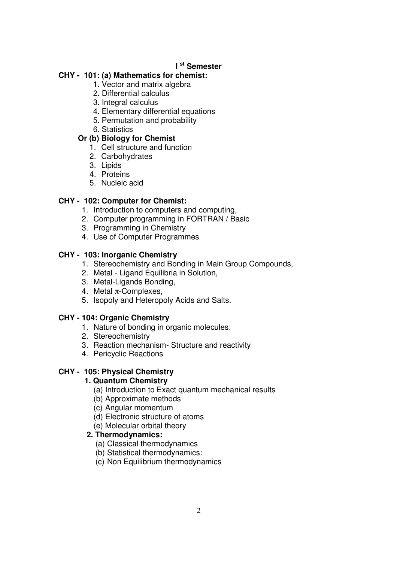## **I st Semester**

## **CHY - 101: (a) Mathematics for chemist:**

- 1. Vector and matrix algebra
- 2. Differential calculus
- 3. Integral calculus
- 4. Elementary differential equations
- 5. Permutation and probability
- 6. Statistics

## **Or (b) Biology for Chemist**

- 1. Cell structure and function
- 2. Carbohydrates
- 3. Lipids
- 4. Proteins
- 5. Nucleic acid

## **CHY - 102: Computer for Chemist:**

- 1. Introduction to computers and computing,
- 2. Computer programming in FORTRAN / Basic
- 3. Programming in Chemistry
- 4. Use of Computer Programmes

## **CHY - 103: Inorganic Chemistry**

- 1. Stereochemistry and Bonding in Main Group Compounds,
- 2. Metal Ligand Equilibria in Solution,
- 3. Metal-Ligands Bonding,
- 4. Metal π-Complexes,
- 5. Isopoly and Heteropoly Acids and Salts.

#### **CHY - 104: Organic Chemistry**

- 1. Nature of bonding in organic molecules:
- 2. Stereochemistry
- 3. Reaction mechanism- Structure and reactivity
- 4. Pericyclic Reactions

## **CHY - 105: Physical Chemistry**

#### **1. Quantum Chemistry**

- (a) Introduction to Exact quantum mechanical results
- (b) Approximate methods
- (c) Angular momentum
- (d) Electronic structure of atoms
- (e) Molecular orbital theory

## **2. Thermodynamics:**

- (a) Classical thermodynamics
- (b) Statistical thermodynamics:
- (c) Non Equilibrium thermodynamics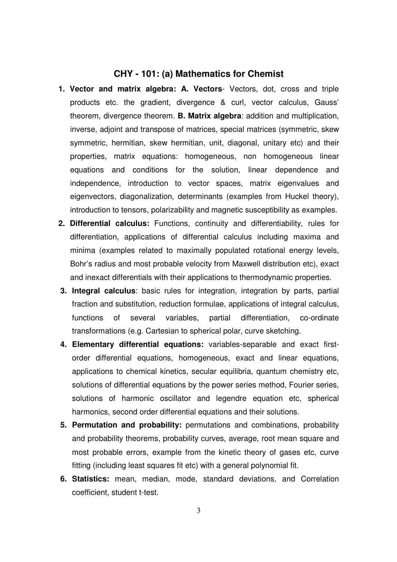#### **CHY - 101: (a) Mathematics for Chemist**

- **1. Vector and matrix algebra: A. Vectors** Vectors, dot, cross and triple products etc. the gradient, divergence & curl, vector calculus, Gauss' theorem, divergence theorem. **B. Matrix algebra**: addition and multiplication, inverse, adjoint and transpose of matrices, special matrices (symmetric, skew symmetric, hermitian, skew hermitian, unit, diagonal, unitary etc) and their properties, matrix equations: homogeneous, non homogeneous linear equations and conditions for the solution, linear dependence and independence, introduction to vector spaces, matrix eigenvalues and eigenvectors, diagonalization, determinants (examples from Huckel theory), introduction to tensors, polarizability and magnetic susceptibility as examples.
- **2. Differential calculus:** Functions, continuity and differentiability, rules for differentiation, applications of differential calculus including maxima and minima (examples related to maximally populated rotational energy levels, Bohr's radius and most probable velocity from Maxwell distribution etc), exact and inexact differentials with their applications to thermodynamic properties.
- **3. Integral calculus**: basic rules for integration, integration by parts, partial fraction and substitution, reduction formulae, applications of integral calculus, functions of several variables, partial differentiation, co-ordinate transformations (e.g. Cartesian to spherical polar, curve sketching.
- **4. Elementary differential equations:** variables-separable and exact firstorder differential equations, homogeneous, exact and linear equations, applications to chemical kinetics, secular equilibria, quantum chemistry etc, solutions of differential equations by the power series method, Fourier series, solutions of harmonic oscillator and legendre equation etc, spherical harmonics, second order differential equations and their solutions.
- **5. Permutation and probability:** permutations and combinations, probability and probability theorems, probability curves, average, root mean square and most probable errors, example from the kinetic theory of gases etc, curve fitting (including least squares fit etc) with a general polynomial fit.
- **6. Statistics:** mean, median, mode, standard deviations, and Correlation coefficient, student t-test.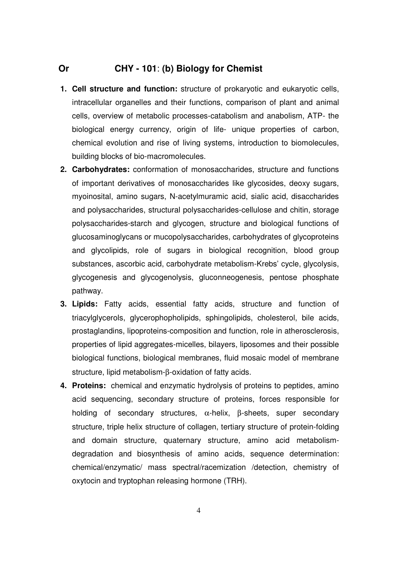## **Or CHY - 101**: **(b) Biology for Chemist**

- **1. Cell structure and function:** structure of prokaryotic and eukaryotic cells, intracellular organelles and their functions, comparison of plant and animal cells, overview of metabolic processes-catabolism and anabolism, ATP- the biological energy currency, origin of life- unique properties of carbon, chemical evolution and rise of living systems, introduction to biomolecules, building blocks of bio-macromolecules.
- **2. Carbohydrates:** conformation of monosaccharides, structure and functions of important derivatives of monosaccharides like glycosides, deoxy sugars, myoinosital, amino sugars, N-acetylmuramic acid, sialic acid, disaccharides and polysaccharides, structural polysaccharides-cellulose and chitin, storage polysaccharides-starch and glycogen, structure and biological functions of glucosaminoglycans or mucopolysaccharides, carbohydrates of glycoproteins and glycolipids, role of sugars in biological recognition, blood group substances, ascorbic acid, carbohydrate metabolism-Krebs' cycle, glycolysis, glycogenesis and glycogenolysis, gluconneogenesis, pentose phosphate pathway.
- **3. Lipids:** Fatty acids, essential fatty acids, structure and function of triacylglycerols, glycerophopholipids, sphingolipids, cholesterol, bile acids, prostaglandins, lipoproteins-composition and function, role in atherosclerosis, properties of lipid aggregates-micelles, bilayers, liposomes and their possible biological functions, biological membranes, fluid mosaic model of membrane structure, lipid metabolism-β-oxidation of fatty acids.
- **4. Proteins:** chemical and enzymatic hydrolysis of proteins to peptides, amino acid sequencing, secondary structure of proteins, forces responsible for holding of secondary structures, α-helix, β-sheets, super secondary structure, triple helix structure of collagen, tertiary structure of protein-folding and domain structure, quaternary structure, amino acid metabolismdegradation and biosynthesis of amino acids, sequence determination: chemical/enzymatic/ mass spectral/racemization /detection, chemistry of oxytocin and tryptophan releasing hormone (TRH).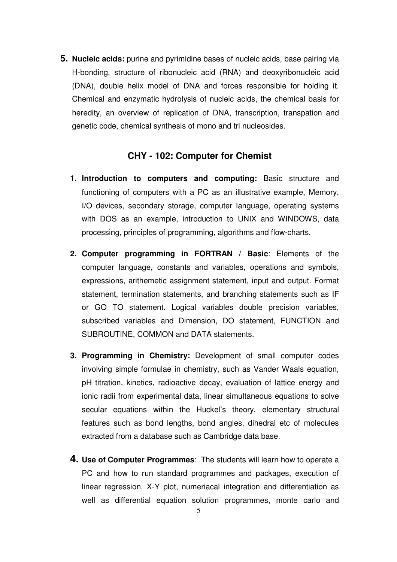**5. Nucleic acids:** purine and pyrimidine bases of nucleic acids, base pairing via H-bonding, structure of ribonucleic acid (RNA) and deoxyribonucleic acid (DNA), double helix model of DNA and forces responsible for holding it. Chemical and enzymatic hydrolysis of nucleic acids, the chemical basis for heredity, an overview of replication of DNA, transcription, transpation and genetic code, chemical synthesis of mono and tri nucleosides.

## **CHY - 102: Computer for Chemist**

- **1. Introduction to computers and computing:** Basic structure and functioning of computers with a PC as an illustrative example, Memory, I/O devices, secondary storage, computer language, operating systems with DOS as an example, introduction to UNIX and WINDOWS, data processing, principles of programming, algorithms and flow-charts.
- **2. Computer programming in FORTRAN / Basic**: Elements of the computer language, constants and variables, operations and symbols, expressions, arithemetic assignment statement, input and output. Format statement, termination statements, and branching statements such as IF or GO TO statement. Logical variables double precision variables, subscribed variables and Dimension, DO statement, FUNCTION and SUBROUTINE, COMMON and DATA statements.
- **3. Programming in Chemistry:** Development of small computer codes involving simple formulae in chemistry, such as Vander Waals equation, pH titration, kinetics, radioactive decay, evaluation of lattice energy and ionic radii from experimental data, linear simultaneous equations to solve secular equations within the Huckel's theory, elementary structural features such as bond lengths, bond angles, dihedral etc of molecules extracted from a database such as Cambridge data base.
- **4. Use of Computer Programmes**: The students will learn how to operate a PC and how to run standard programmes and packages, execution of linear regression, X-Y plot, numeriacal integration and differentiation as well as differential equation solution programmes, monte carlo and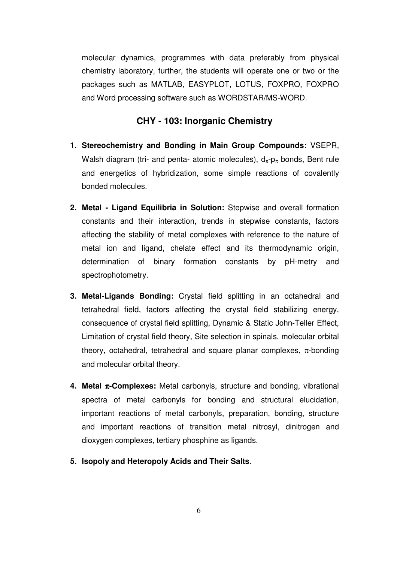molecular dynamics, programmes with data preferably from physical chemistry laboratory, further, the students will operate one or two or the packages such as MATLAB, EASYPLOT, LOTUS, FOXPRO, FOXPRO and Word processing software such as WORDSTAR/MS-WORD.

## **CHY - 103: Inorganic Chemistry**

- **1. Stereochemistry and Bonding in Main Group Compounds:** VSEPR, Walsh diagram (tri- and penta- atomic molecules),  $d_{\pi}$ - $p_{\pi}$  bonds, Bent rule and energetics of hybridization, some simple reactions of covalently bonded molecules.
- **2. Metal Ligand Equilibria in Solution:** Stepwise and overall formation constants and their interaction, trends in stepwise constants, factors affecting the stability of metal complexes with reference to the nature of metal ion and ligand, chelate effect and its thermodynamic origin, determination of binary formation constants by pH-metry and spectrophotometry.
- **3. Metal-Ligands Bonding:** Crystal field splitting in an octahedral and tetrahedral field, factors affecting the crystal field stabilizing energy, consequence of crystal field splitting, Dynamic & Static John-Teller Effect, Limitation of crystal field theory, Site selection in spinals, molecular orbital theory, octahedral, tetrahedral and square planar complexes,  $\pi$ -bonding and molecular orbital theory.
- **4. Metal** π**-Complexes:** Metal carbonyls, structure and bonding, vibrational spectra of metal carbonyls for bonding and structural elucidation, important reactions of metal carbonyls, preparation, bonding, structure and important reactions of transition metal nitrosyl, dinitrogen and dioxygen complexes, tertiary phosphine as ligands.
- **5. Isopoly and Heteropoly Acids and Their Salts**.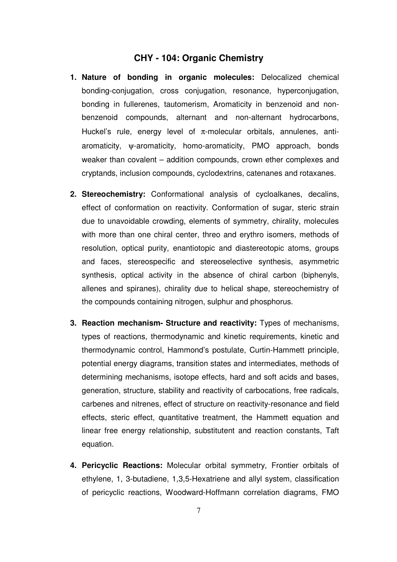### **CHY - 104: Organic Chemistry**

- **1. Nature of bonding in organic molecules:** Delocalized chemical bonding-conjugation, cross conjugation, resonance, hyperconjugation, bonding in fullerenes, tautomerism, Aromaticity in benzenoid and nonbenzenoid compounds, alternant and non-alternant hydrocarbons, Huckel's rule, energy level of  $\pi$ -molecular orbitals, annulenes, antiaromaticity, ψ-aromaticity, homo-aromaticity, PMO approach, bonds weaker than covalent – addition compounds, crown ether complexes and cryptands, inclusion compounds, cyclodextrins, catenanes and rotaxanes.
- **2. Stereochemistry:** Conformational analysis of cycloalkanes, decalins, effect of conformation on reactivity. Conformation of sugar, steric strain due to unavoidable crowding, elements of symmetry, chirality, molecules with more than one chiral center, threo and erythro isomers, methods of resolution, optical purity, enantiotopic and diastereotopic atoms, groups and faces, stereospecific and stereoselective synthesis, asymmetric synthesis, optical activity in the absence of chiral carbon (biphenyls, allenes and spiranes), chirality due to helical shape, stereochemistry of the compounds containing nitrogen, sulphur and phosphorus.
- **3. Reaction mechanism- Structure and reactivity:** Types of mechanisms, types of reactions, thermodynamic and kinetic requirements, kinetic and thermodynamic control, Hammond's postulate, Curtin-Hammett principle, potential energy diagrams, transition states and intermediates, methods of determining mechanisms, isotope effects, hard and soft acids and bases, generation, structure, stability and reactivity of carbocations, free radicals, carbenes and nitrenes, effect of structure on reactivity-resonance and field effects, steric effect, quantitative treatment, the Hammett equation and linear free energy relationship, substitutent and reaction constants, Taft equation.
- **4. Pericyclic Reactions:** Molecular orbital symmetry, Frontier orbitals of ethylene, 1, 3-butadiene, 1,3,5-Hexatriene and allyl system, classification of pericyclic reactions, Woodward-Hoffmann correlation diagrams, FMO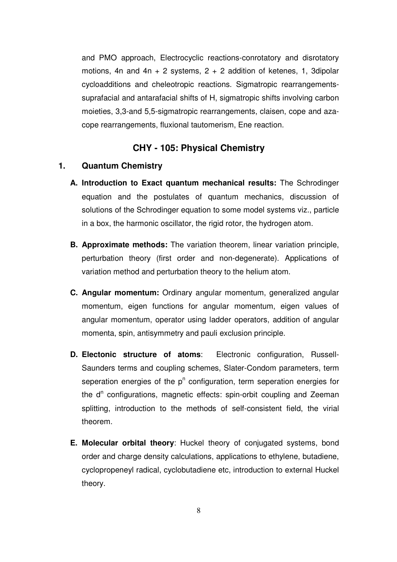and PMO approach, Electrocyclic reactions-conrotatory and disrotatory motions, 4n and 4n + 2 systems,  $2 + 2$  addition of ketenes, 1, 3dipolar cycloadditions and cheleotropic reactions. Sigmatropic rearrangementssuprafacial and antarafacial shifts of H, sigmatropic shifts involving carbon moieties, 3,3-and 5,5-sigmatropic rearrangements, claisen, cope and azacope rearrangements, fluxional tautomerism, Ene reaction.

## **CHY - 105: Physical Chemistry**

#### **1. Quantum Chemistry**

- **A. Introduction to Exact quantum mechanical results:** The Schrodinger equation and the postulates of quantum mechanics, discussion of solutions of the Schrodinger equation to some model systems viz., particle in a box, the harmonic oscillator, the rigid rotor, the hydrogen atom.
- **B. Approximate methods:** The variation theorem, linear variation principle, perturbation theory (first order and non-degenerate). Applications of variation method and perturbation theory to the helium atom.
- **C. Angular momentum:** Ordinary angular momentum, generalized angular momentum, eigen functions for angular momentum, eigen values of angular momentum, operator using ladder operators, addition of angular momenta, spin, antisymmetry and pauli exclusion principle.
- **D. Electonic structure of atoms**: Electronic configuration, Russell-Saunders terms and coupling schemes, Slater-Condom parameters, term seperation energies of the  $p<sup>n</sup>$  configuration, term seperation energies for the d<sup>n</sup> configurations, magnetic effects: spin-orbit coupling and Zeeman splitting, introduction to the methods of self-consistent field, the virial theorem.
- **E. Molecular orbital theory**: Huckel theory of conjugated systems, bond order and charge density calculations, applications to ethylene, butadiene, cyclopropeneyl radical, cyclobutadiene etc, introduction to external Huckel theory.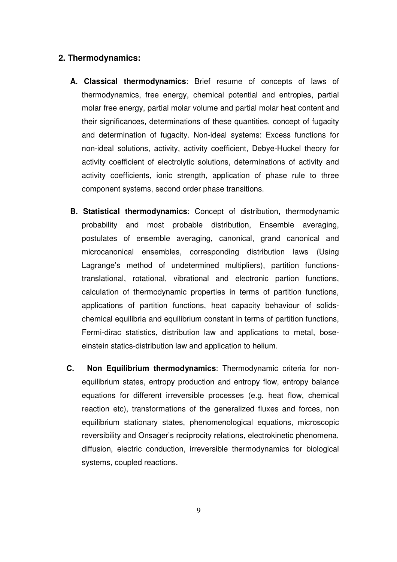#### **2. Thermodynamics:**

- **A. Classical thermodynamics**: Brief resume of concepts of laws of thermodynamics, free energy, chemical potential and entropies, partial molar free energy, partial molar volume and partial molar heat content and their significances, determinations of these quantities, concept of fugacity and determination of fugacity. Non-ideal systems: Excess functions for non-ideal solutions, activity, activity coefficient, Debye-Huckel theory for activity coefficient of electrolytic solutions, determinations of activity and activity coefficients, ionic strength, application of phase rule to three component systems, second order phase transitions.
- **B. Statistical thermodynamics**: Concept of distribution, thermodynamic probability and most probable distribution, Ensemble averaging, postulates of ensemble averaging, canonical, grand canonical and microcanonical ensembles, corresponding distribution laws (Using Lagrange's method of undetermined multipliers), partition functionstranslational, rotational, vibrational and electronic partion functions, calculation of thermodynamic properties in terms of partition functions, applications of partition functions, heat capacity behaviour of solidschemical equilibria and equilibrium constant in terms of partition functions, Fermi-dirac statistics, distribution law and applications to metal, boseeinstein statics-distribution law and application to helium.
- **C. Non Equilibrium thermodynamics**: Thermodynamic criteria for nonequilibrium states, entropy production and entropy flow, entropy balance equations for different irreversible processes (e.g. heat flow, chemical reaction etc), transformations of the generalized fluxes and forces, non equilibrium stationary states, phenomenological equations, microscopic reversibility and Onsager's reciprocity relations, electrokinetic phenomena, diffusion, electric conduction, irreversible thermodynamics for biological systems, coupled reactions.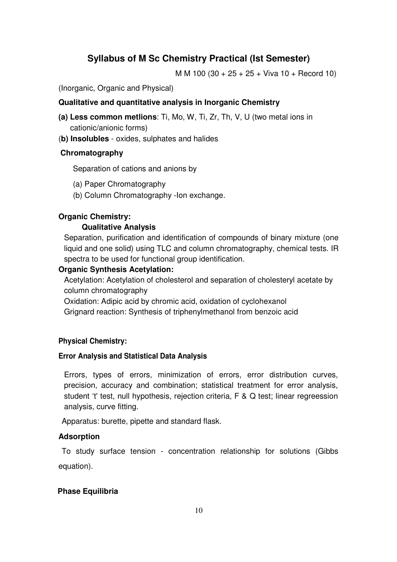# **Syllabus of M Sc Chemistry Practical (Ist Semester)**

M M 100 (30 + 25 + 25 + Viva 10 + Record 10)

(Inorganic, Organic and Physical)

#### **Qualitative and quantitative analysis in Inorganic Chemistry**

- **(a) Less common metlions**: Ti, Mo, W, Ti, Zr, Th, V, U (two metal ions in cationic/anionic forms)
- (**b) Insolubles** oxides, sulphates and halides

#### **Chromatography**

Separation of cations and anions by

- (a) Paper Chromatography
- (b) Column Chromatography -Ion exchange.

#### **Organic Chemistry:**

#### **Qualitative Analysis**

Separation, purification and identification of compounds of binary mixture (one liquid and one solid) using TLC and column chromatography, chemical tests. IR spectra to be used for functional group identification.

#### **Organic Synthesis Acetylation:**

Acetylation: Acetylation of cholesterol and separation of cholesteryl acetate by column chromatography

Oxidation: Adipic acid by chromic acid, oxidation of cyclohexanol

Grignard reaction: Synthesis of triphenylmethanol from benzoic acid

#### **Physical Chemistry:**

#### **Error Analysis and Statistical Data Analysis**

Errors, types of errors, minimization of errors, error distribution curves, precision, accuracy and combination; statistical treatment for error analysis, student 't' test, null hypothesis, rejection criteria, F & Q test; linear regreession analysis, curve fitting.

Apparatus: burette, pipette and standard flask.

#### **Adsorption**

To study surface tension - concentration relationship for solutions (Gibbs equation).

#### **Phase Equilibria**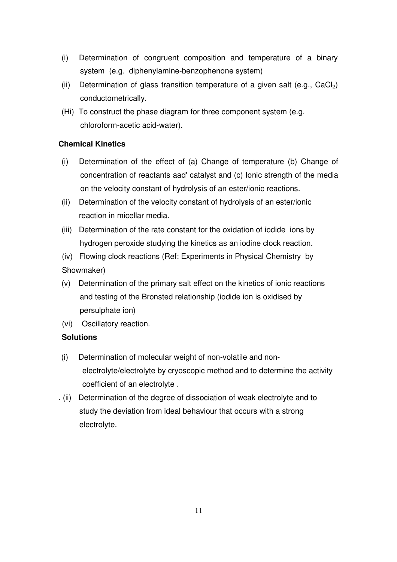- (i) Determination of congruent composition and temperature of a binary system (e.g. diphenylamine-benzophenone system)
- (ii) Determination of glass transition temperature of a given salt (e.g.,  $CaCl<sub>2</sub>$ ) conductometrically.
- (Hi) To construct the phase diagram for three component system (e.g. chloroform-acetic acid-water).

## **Chemical Kinetics**

- (i) Determination of the effect of (a) Change of temperature (b) Change of concentration of reactants aad' catalyst and (c) Ionic strength of the media on the velocity constant of hydrolysis of an ester/ionic reactions.
- (ii) Determination of the velocity constant of hydrolysis of an ester/ionic reaction in micellar media.
- (iii) Determination of the rate constant for the oxidation of iodide ions by hydrogen peroxide studying the kinetics as an iodine clock reaction.
- (iv) Flowing clock reactions (Ref: Experiments in Physical Chemistry by Showmaker)
- (v) Determination of the primary salt effect on the kinetics of ionic reactions and testing of the Bronsted relationship (iodide ion is oxidised by persulphate ion)
- (vi) Oscillatory reaction.

#### **Solutions**

- (i) Determination of molecular weight of non-volatile and nonelectrolyte/electrolyte by cryoscopic method and to determine the activity coefficient of an electrolyte .
- . (ii) Determination of the degree of dissociation of weak electrolyte and to study the deviation from ideal behaviour that occurs with a strong electrolyte.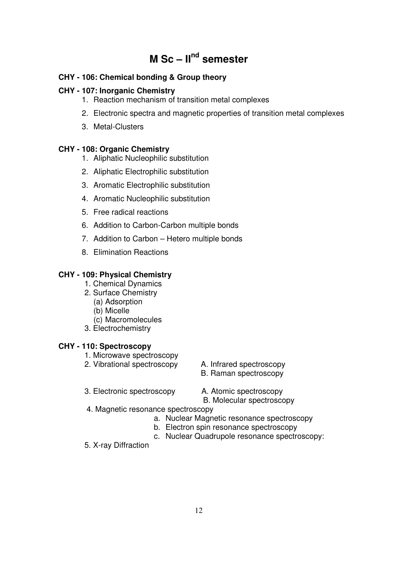# **M Sc – IInd semester**

## **CHY - 106: Chemical bonding & Group theory**

## **CHY - 107: Inorganic Chemistry**

- 1. Reaction mechanism of transition metal complexes
- 2. Electronic spectra and magnetic properties of transition metal complexes
- 3. Metal-Clusters

#### **CHY - 108: Organic Chemistry**

- 1. Aliphatic Nucleophilic substitution
- 2. Aliphatic Electrophilic substitution
- 3. Aromatic Electrophilic substitution
- 4. Aromatic Nucleophilic substitution
- 5. Free radical reactions
- 6. Addition to Carbon-Carbon multiple bonds
- 7. Addition to Carbon Hetero multiple bonds
- 8. Elimination Reactions

## **CHY - 109: Physical Chemistry**

- 1. Chemical Dynamics
- 2. Surface Chemistry
	- (a) Adsorption
	- (b) Micelle
	- (c) Macromolecules
- 3. Electrochemistry

#### **CHY - 110: Spectroscopy**

- 1. Microwave spectroscopy
- 2. Vibrational spectroscopy A. Infrared spectroscopy
	-
	- B. Raman spectroscopy
- 3. Electronic spectroscopy A. Atomic spectroscopy
	-

B. Molecular spectroscopy

- 4. Magnetic resonance spectroscopy
	- a. Nuclear Magnetic resonance spectroscopy
	- b. Electron spin resonance spectroscopy
	- c. Nuclear Quadrupole resonance spectroscopy:
- 5. X-ray Diffraction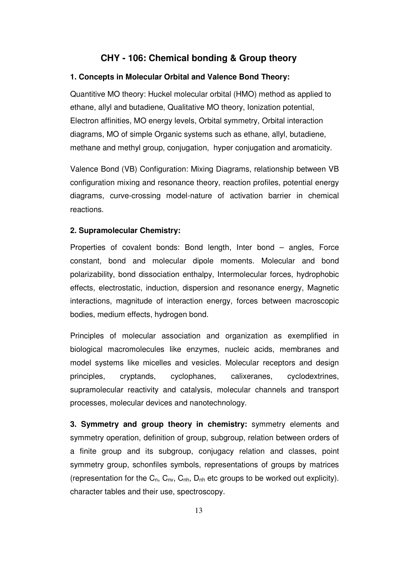## **CHY - 106: Chemical bonding & Group theory**

#### **1. Concepts in Molecular Orbital and Valence Bond Theory:**

Quantitive MO theory: Huckel molecular orbital (HMO) method as applied to ethane, allyl and butadiene, Qualitative MO theory, Ionization potential, Electron affinities, MO energy levels, Orbital symmetry, Orbital interaction diagrams, MO of simple Organic systems such as ethane, allyl, butadiene, methane and methyl group, conjugation, hyper conjugation and aromaticity.

Valence Bond (VB) Configuration: Mixing Diagrams, relationship between VB configuration mixing and resonance theory, reaction profiles, potential energy diagrams, curve-crossing model-nature of activation barrier in chemical reactions.

#### **2. Supramolecular Chemistry:**

Properties of covalent bonds: Bond length, Inter bond – angles, Force constant, bond and molecular dipole moments. Molecular and bond polarizability, bond dissociation enthalpy, Intermolecular forces, hydrophobic effects, electrostatic, induction, dispersion and resonance energy, Magnetic interactions, magnitude of interaction energy, forces between macroscopic bodies, medium effects, hydrogen bond.

Principles of molecular association and organization as exemplified in biological macromolecules like enzymes, nucleic acids, membranes and model systems like micelles and vesicles. Molecular receptors and design principles, cryptands, cyclophanes, calixeranes, cyclodextrines, supramolecular reactivity and catalysis, molecular channels and transport processes, molecular devices and nanotechnology.

**3. Symmetry and group theory in chemistry:** symmetry elements and symmetry operation, definition of group, subgroup, relation between orders of a finite group and its subgroup, conjugacy relation and classes, point symmetry group, schonfiles symbols, representations of groups by matrices (representation for the  $C_n$ ,  $C_{nv}$ ,  $C_{nh}$ ,  $D_{nh}$  etc groups to be worked out explicity). character tables and their use, spectroscopy.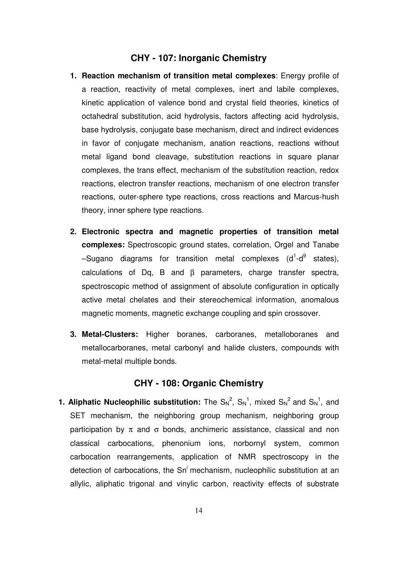#### **CHY - 107: Inorganic Chemistry**

- **1. Reaction mechanism of transition metal complexes**: Energy profile of a reaction, reactivity of metal complexes, inert and labile complexes, kinetic application of valence bond and crystal field theories, kinetics of octahedral substitution, acid hydrolysis, factors affecting acid hydrolysis, base hydrolysis, conjugate base mechanism, direct and indirect evidences in favor of conjugate mechanism, anation reactions, reactions without metal ligand bond cleavage, substitution reactions in square planar complexes, the trans effect, mechanism of the substitution reaction, redox reactions, electron transfer reactions, mechanism of one electron transfer reactions, outer-sphere type reactions, cross reactions and Marcus-hush theory, inner sphere type reactions.
- **2. Electronic spectra and magnetic properties of transition metal complexes:** Spectroscopic ground states, correlation, Orgel and Tanabe -Sugano diagrams for transition metal complexes (d<sup>1</sup>-d<sup>9</sup> states), calculations of Dq, B and β parameters, charge transfer spectra, spectroscopic method of assignment of absolute configuration in optically active metal chelates and their stereochemical information, anomalous magnetic moments, magnetic exchange coupling and spin crossover.
- **3. Metal-Clusters:** Higher boranes, carboranes, metalloboranes and metallocarboranes, metal carbonyl and halide clusters, compounds with metal-metal multiple bonds.

## **CHY - 108: Organic Chemistry**

**1. Aliphatic Nucleophilic substitution:** The  $S_N^2$ ,  $S_N^1$ , mixed  $S_N^2$  and  $S_N^1$ , and SET mechanism, the neighboring group mechanism, neighboring group participation by  $\pi$  and  $\sigma$  bonds, anchimeric assistance, classical and non classical carbocations, phenonium ions, norbornyl system, common carbocation rearrangements, application of NMR spectroscopy in the detection of carbocations, the Sn' mechanism, nucleophilic substitution at an allylic, aliphatic trigonal and vinylic carbon, reactivity effects of substrate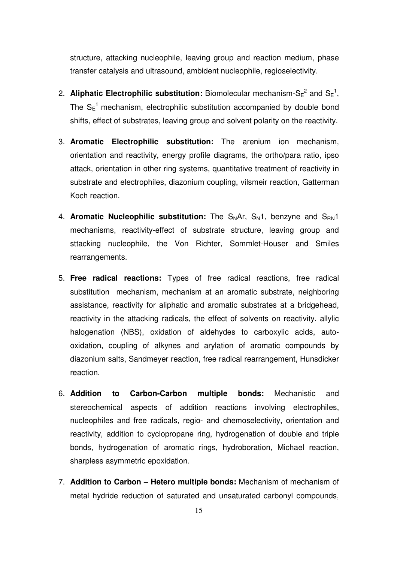structure, attacking nucleophile, leaving group and reaction medium, phase transfer catalysis and ultrasound, ambident nucleophile, regioselectivity.

- 2. **Aliphatic Electrophilic substitution:** Biomolecular mechanism-S $\varepsilon^2$  and S $\varepsilon^1$ , The  $S_E^{-1}$  mechanism, electrophilic substitution accompanied by double bond shifts, effect of substrates, leaving group and solvent polarity on the reactivity.
- 3. **Aromatic Electrophilic substitution:** The arenium ion mechanism, orientation and reactivity, energy profile diagrams, the ortho/para ratio, ipso attack, orientation in other ring systems, quantitative treatment of reactivity in substrate and electrophiles, diazonium coupling, vilsmeir reaction, Gatterman Koch reaction.
- 4. **Aromatic Nucleophilic substitution:** The S<sub>N</sub>Ar, S<sub>N</sub>1, benzyne and S<sub>RN</sub>1 mechanisms, reactivity-effect of substrate structure, leaving group and sttacking nucleophile, the Von Richter, Sommlet-Houser and Smiles rearrangements.
- 5. **Free radical reactions:** Types of free radical reactions, free radical substitution mechanism, mechanism at an aromatic substrate, neighboring assistance, reactivity for aliphatic and aromatic substrates at a bridgehead, reactivity in the attacking radicals, the effect of solvents on reactivity. allylic halogenation (NBS), oxidation of aldehydes to carboxylic acids, autooxidation, coupling of alkynes and arylation of aromatic compounds by diazonium salts, Sandmeyer reaction, free radical rearrangement, Hunsdicker reaction.
- 6. **Addition to Carbon-Carbon multiple bonds:** Mechanistic and stereochemical aspects of addition reactions involving electrophiles, nucleophiles and free radicals, regio- and chemoselectivity, orientation and reactivity, addition to cyclopropane ring, hydrogenation of double and triple bonds, hydrogenation of aromatic rings, hydroboration, Michael reaction, sharpless asymmetric epoxidation.
- 7. **Addition to Carbon Hetero multiple bonds:** Mechanism of mechanism of metal hydride reduction of saturated and unsaturated carbonyl compounds,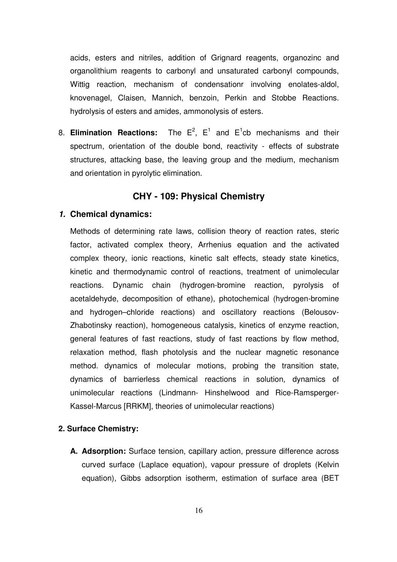acids, esters and nitriles, addition of Grignard reagents, organozinc and organolithium reagents to carbonyl and unsaturated carbonyl compounds, Wittig reaction, mechanism of condensationr involving enolates-aldol, knovenagel, Claisen, Mannich, benzoin, Perkin and Stobbe Reactions. hydrolysis of esters and amides, ammonolysis of esters.

8. **Elimination Reactions:** The  $E^2$ ,  $E^1$  and  $E^1$ cb mechanisms and their spectrum, orientation of the double bond, reactivity - effects of substrate structures, attacking base, the leaving group and the medium, mechanism and orientation in pyrolytic elimination.

## **CHY - 109: Physical Chemistry**

#### **1. Chemical dynamics:**

Methods of determining rate laws, collision theory of reaction rates, steric factor, activated complex theory, Arrhenius equation and the activated complex theory, ionic reactions, kinetic salt effects, steady state kinetics, kinetic and thermodynamic control of reactions, treatment of unimolecular reactions. Dynamic chain (hydrogen-bromine reaction, pyrolysis of acetaldehyde, decomposition of ethane), photochemical (hydrogen-bromine and hydrogen–chloride reactions) and oscillatory reactions (Belousov-Zhabotinsky reaction), homogeneous catalysis, kinetics of enzyme reaction, general features of fast reactions, study of fast reactions by flow method, relaxation method, flash photolysis and the nuclear magnetic resonance method. dynamics of molecular motions, probing the transition state, dynamics of barrierless chemical reactions in solution, dynamics of unimolecular reactions (Lindmann- Hinshelwood and Rice-Ramsperger-Kassel-Marcus [RRKM], theories of unimolecular reactions)

#### **2. Surface Chemistry:**

**A. Adsorption:** Surface tension, capillary action, pressure difference across curved surface (Laplace equation), vapour pressure of droplets (Kelvin equation), Gibbs adsorption isotherm, estimation of surface area (BET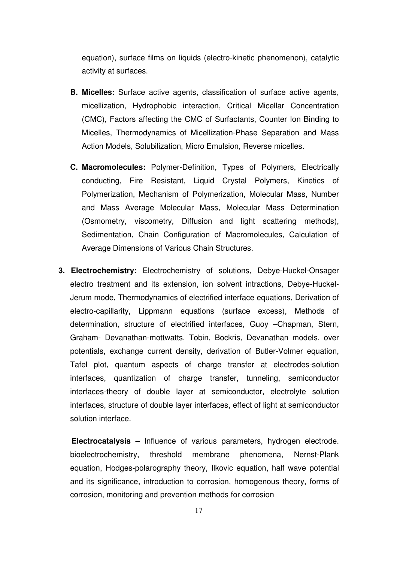equation), surface films on liquids (electro-kinetic phenomenon), catalytic activity at surfaces.

- **B. Micelles:** Surface active agents, classification of surface active agents, micellization, Hydrophobic interaction, Critical Micellar Concentration (CMC), Factors affecting the CMC of Surfactants, Counter Ion Binding to Micelles, Thermodynamics of Micellization-Phase Separation and Mass Action Models, Solubilization, Micro Emulsion, Reverse micelles.
- **C. Macromolecules:** Polymer-Definition, Types of Polymers, Electrically conducting, Fire Resistant, Liquid Crystal Polymers, Kinetics of Polymerization, Mechanism of Polymerization, Molecular Mass, Number and Mass Average Molecular Mass, Molecular Mass Determination (Osmometry, viscometry, Diffusion and light scattering methods), Sedimentation, Chain Configuration of Macromolecules, Calculation of Average Dimensions of Various Chain Structures.
- **3. Electrochemistry:** Electrochemistry of solutions, Debye-Huckel-Onsager electro treatment and its extension, ion solvent intractions, Debye-Huckel-Jerum mode, Thermodynamics of electrified interface equations, Derivation of electro-capillarity, Lippmann equations (surface excess), Methods of determination, structure of electrified interfaces, Guoy –Chapman, Stern, Graham- Devanathan-mottwatts, Tobin, Bockris, Devanathan models, over potentials, exchange current density, derivation of Butler-Volmer equation, Tafel plot, quantum aspects of charge transfer at electrodes-solution interfaces, quantization of charge transfer, tunneling, semiconductor interfaces-theory of double layer at semiconductor, electrolyte solution interfaces, structure of double layer interfaces, effect of light at semiconductor solution interface.

 **Electrocatalysis** – Influence of various parameters, hydrogen electrode. bioelectrochemistry, threshold membrane phenomena, Nernst-Plank equation, Hodges-polarography theory, Ilkovic equation, half wave potential and its significance, introduction to corrosion, homogenous theory, forms of corrosion, monitoring and prevention methods for corrosion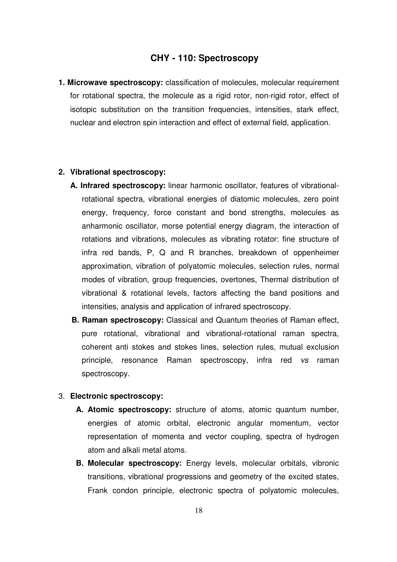## **CHY - 110: Spectroscopy**

**1. Microwave spectroscopy:** classification of molecules, molecular requirement for rotational spectra, the molecule as a rigid rotor, non-rigid rotor, effect of isotopic substitution on the transition frequencies, intensities, stark effect, nuclear and electron spin interaction and effect of external field, application.

#### **2. Vibrational spectroscopy:**

- **A. Infrared spectroscopy:** linear harmonic oscillator, features of vibrationalrotational spectra, vibrational energies of diatomic molecules, zero point energy, frequency, force constant and bond strengths, molecules as anharmonic oscillator, morse potential energy diagram, the interaction of rotations and vibrations, molecules as vibrating rotator: fine structure of infra red bands, P, Q and R branches, breakdown of oppenheimer approximation, vibration of polyatomic molecules, selection rules, normal modes of vibration, group frequencies, overtones, Thermal distribution of vibrational & rotational levels, factors affecting the band positions and intensities, analysis and application of infrared spectroscopy.
- **B. Raman spectroscopy:** Classical and Quantum theories of Raman effect, pure rotational, vibrational and vibrational-rotational raman spectra, coherent anti stokes and stokes lines, selection rules, mutual exclusion principle, resonance Raman spectroscopy, infra red vs raman spectroscopy.

#### 3. **Electronic spectroscopy:**

- **A. Atomic spectroscopy:** structure of atoms, atomic quantum number, energies of atomic orbital, electronic angular momentum, vector representation of momenta and vector coupling, spectra of hydrogen atom and alkali metal atoms.
- **B. Molecular spectroscopy:** Energy levels, molecular orbitals, vibronic transitions, vibrational progressions and geometry of the excited states, Frank condon principle, electronic spectra of polyatomic molecules,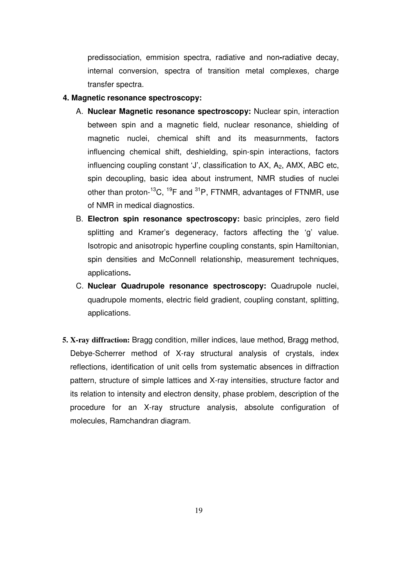predissociation, emmision spectra, radiative and non**-**radiative decay, internal conversion, spectra of transition metal complexes, charge transfer spectra.

#### **4. Magnetic resonance spectroscopy:**

- A. **Nuclear Magnetic resonance spectroscopy:** Nuclear spin, interaction between spin and a magnetic field, nuclear resonance, shielding of magnetic nuclei, chemical shift and its measurnments, factors influencing chemical shift, deshielding, spin-spin interactions, factors influencing coupling constant 'J', classification to AX, A<sub>2</sub>, AMX, ABC etc, spin decoupling, basic idea about instrument, NMR studies of nuclei other than proton- $^{13}$ C,  $^{19}$ F and  $^{31}$ P, FTNMR, advantages of FTNMR, use of NMR in medical diagnostics.
- B. **Electron spin resonance spectroscopy:** basic principles, zero field splitting and Kramer's degeneracy, factors affecting the 'g' value. Isotropic and anisotropic hyperfine coupling constants, spin Hamiltonian, spin densities and McConnell relationship, measurement techniques, applications**.**
- C. **Nuclear Quadrupole resonance spectroscopy:** Quadrupole nuclei, quadrupole moments, electric field gradient, coupling constant, splitting, applications.
- **5. X-ray diffraction:** Bragg condition, miller indices, laue method, Bragg method, Debye-Scherrer method of X-ray structural analysis of crystals, index reflections, identification of unit cells from systematic absences in diffraction pattern, structure of simple lattices and X-ray intensities, structure factor and its relation to intensity and electron density, phase problem, description of the procedure for an X-ray structure analysis, absolute configuration of molecules, Ramchandran diagram.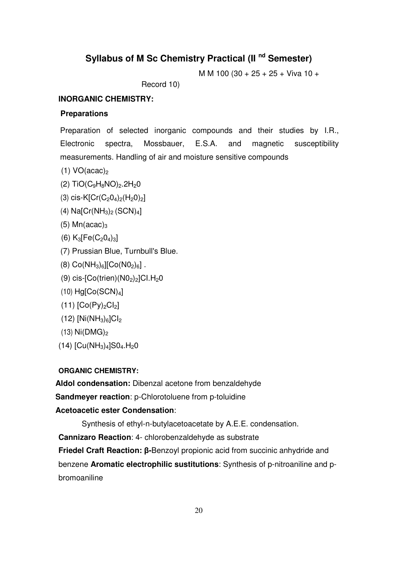# **Syllabus of M Sc Chemistry Practical (II nd Semester)**

M M 100 (30 + 25 + 25 + Viva 10 +

Record 10)

#### **INORGANIC CHEMISTRY:**

#### **Preparations**

Preparation of selected inorganic compounds and their studies by I.R., Electronic spectra, Mossbauer, E.S.A. and magnetic susceptibility measurements. Handling of air and moisture sensitive compounds

- (1)  $VO(acac)_2$
- (2)  $TiO(C_9H_8NO)_2.2H_2O$
- (3) cis-K[Cr(C<sub>2</sub>O<sub>4</sub>)<sub>2</sub>(H<sub>2</sub>O)<sub>2</sub>]
- $(4)$  Na[Cr $(NH_3)_2$  (SCN)<sub>4</sub>]
- (5) Mn(acac) $_3$
- (6)  $K_3[Fe(C_2O_4)_3]$
- (7) Prussian Blue, Turnbull's Blue.
- $(8)$  Co(NH<sub>3</sub>)<sub>6</sub>][Co(N0<sub>2</sub>)<sub>6</sub>].
- (9) cis- $[Co(trien)(NO<sub>2</sub>)<sub>2</sub>]Cl.H<sub>2</sub>O$
- $(10)$  Hg[Co $(SCN)<sub>4</sub>$ ]
- $(11)$   $[Co(Py)<sub>2</sub>Cl<sub>2</sub>]$
- $(12)$  [Ni $(NH_3)_6$ ]Cl<sub>2</sub>
- $(13)$  Ni $(DMG)_{2}$
- $(14)$  [Cu(NH<sub>3</sub>)<sub>4</sub>]S0<sub>4</sub>.H<sub>2</sub>0

#### **ORGANIC CHEMISTRY:**

**Aldol condensation:** Dibenzal acetone from benzaldehyde

**Sandmeyer reaction**: p-Chlorotoluene from p-toluidine

#### **Acetoacetic ester Condensation**:

Synthesis of ethyl-n-butylacetoacetate by A.E.E. condensation.

**Cannizaro Reaction**: 4- chlorobenzaldehyde as substrate

**Friedel Craft Reaction:** β**-**Benzoyl propionic acid from succinic anhydride and benzene **Aromatic electrophilic sustitutions**: Synthesis of p-nitroaniline and pbromoaniline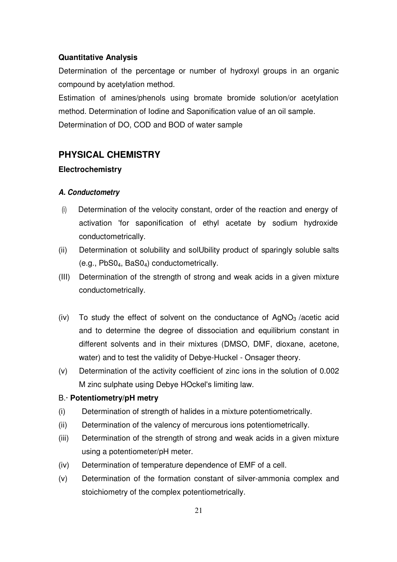#### **Quantitative Analysis**

Determination of the percentage or number of hydroxyl groups in an organic compound by acetylation method.

Estimation of amines/phenols using bromate bromide solution/or acetylation method. Determination of Iodine and Saponification value of an oil sample. Determination of DO, COD and BOD of water sample

## **PHYSICAL CHEMISTRY**

#### **Electrochemistry**

#### **A. Conductometry**

- (i) Determination of the velocity constant, order of the reaction and energy of activation 'for saponification of ethyl acetate by sodium hydroxide conductometrically.
- (ii) Determination ot solubility and solUbility product of sparingly soluble salts (e.g., PbS04, BaS04) conductometrically.
- (III) Determination of the strength of strong and weak acids in a given mixture conductometrically.
- (iv) To study the effect of solvent on the conductance of  $AqNO<sub>3</sub>$  /acetic acid and to determine the degree of dissociation and equilibrium constant in different solvents and in their mixtures (DMSO, DMF, dioxane, acetone, water) and to test the validity of Debye-Huckel - Onsager theory.
- (v) Determination of the activity coefficient of zinc ions in the solution of 0.002 M zinc sulphate using Debye HOckel's limiting law.

#### B.· **Potentiometry/pH metry**

- (i) Determination of strength of halides in a mixture potentiometrically.
- (ii) Determination of the valency of mercurous ions potentiometrically.
- (iii) Determination of the strength of strong and weak acids in a given mixture using a potentiometer/pH meter.
- (iv) Determination of temperature dependence of EMF of a cell.
- (v) Determination of the formation constant of silver-ammonia complex and stoichiometry of the complex potentiometrically.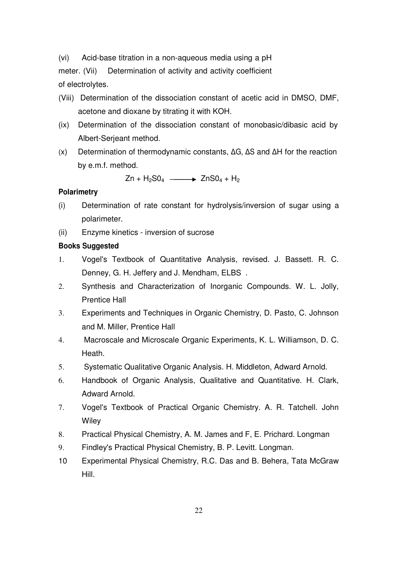(vi) Acid-base titration in a non-aqueous media using a pH

meter. (Vii) Determination of activity and activity coefficient of electrolytes.

- (Viii) Determination of the dissociation constant of acetic acid in DMSO, DMF, acetone and dioxane by titrating it with KOH.
- (ix) Determination of the dissociation constant of monobasic/dibasic acid by Albert-Serjeant method.
- (x) Determination of thermodynamic constants, ∆G, ∆S and ∆H for the reaction by e.m.f. method.

 $Zn + H_2SO_4 \longrightarrow ZnSO_4 + H_2$ 

#### **Polarimetry**

- (i) Determination of rate constant for hydrolysis/inversion of sugar using a polarimeter.
- (ii) Enzyme kinetics inversion of sucrose

#### **Books Suggested**

- 1. Vogel's Textbook of Quantitative Analysis, revised. J. Bassett. R. C. Denney, G. H. Jeffery and J. Mendham, ELBS .
- 2. Synthesis and Characterization of Inorganic Compounds. W. L. Jolly, Prentice Hall
- 3. Experiments and Techniques in Organic Chemistry, D. Pasto, C. Johnson and M. Miller, Prentice Hall
- 4. Macroscale and Microscale Organic Experiments, K. L. Williamson, D. C. Heath.
- 5. Systematic Qualitative Organic Analysis. H. Middleton, Adward Arnold.
- 6. Handbook of Organic Analysis, Qualitative and Quantitative. H. Clark, Adward Arnold.
- 7. Vogel's Textbook of Practical Organic Chemistry. A. R. Tatchell. John **Wiley**
- 8. Practical Physical Chemistry, A. M. James and F, E. Prichard. Longman
- 9. Findley's Practical Physical Chemistry, B. P. Levitt. Longman.
- 10 Experimental Physical Chemistry, R.C. Das and B. Behera, Tata McGraw Hill.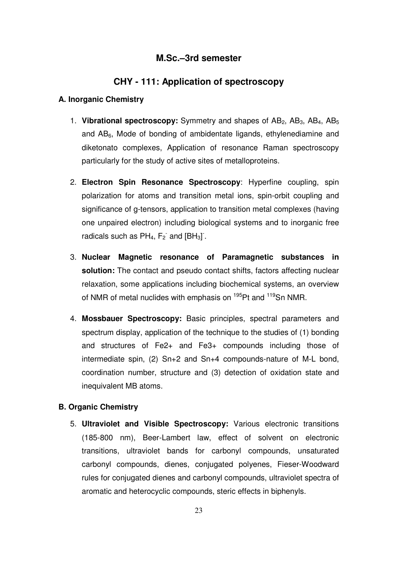## **M.Sc.–3rd semester**

## **CHY - 111: Application of spectroscopy**

#### **A. Inorganic Chemistry**

- 1. **Vibrational spectroscopy:** Symmetry and shapes of AB<sub>2</sub>, AB<sub>3</sub>, AB<sub>4</sub>, AB<sub>5</sub> and  $AB<sub>6</sub>$ , Mode of bonding of ambidentate ligands, ethylenediamine and diketonato complexes, Application of resonance Raman spectroscopy particularly for the study of active sites of metalloproteins.
- 2. **Electron Spin Resonance Spectroscopy**: Hyperfine coupling, spin polarization for atoms and transition metal ions, spin-orbit coupling and significance of g-tensors, application to transition metal complexes (having one unpaired electron) including biological systems and to inorganic free radicals such as  $PH_4$ ,  $F_2$  and  $[BH_3]$ .
- 3. **Nuclear Magnetic resonance of Paramagnetic substances in solution:** The contact and pseudo contact shifts, factors affecting nuclear relaxation, some applications including biochemical systems, an overview of NMR of metal nuclides with emphasis on <sup>195</sup>Pt and <sup>119</sup>Sn NMR.
- 4. **Mossbauer Spectroscopy:** Basic principles, spectral parameters and spectrum display, application of the technique to the studies of (1) bonding and structures of Fe2+ and Fe3+ compounds including those of intermediate spin, (2) Sn+2 and Sn+4 compounds-nature of M-L bond, coordination number, structure and (3) detection of oxidation state and inequivalent MB atoms.

#### **B. Organic Chemistry**

5. **Ultraviolet and Visible Spectroscopy:** Various electronic transitions (185-800 nm), Beer-Lambert law, effect of solvent on electronic transitions, ultraviolet bands for carbonyl compounds, unsaturated carbonyl compounds, dienes, conjugated polyenes, Fieser-Woodward rules for conjugated dienes and carbonyl compounds, ultraviolet spectra of aromatic and heterocyclic compounds, steric effects in biphenyls.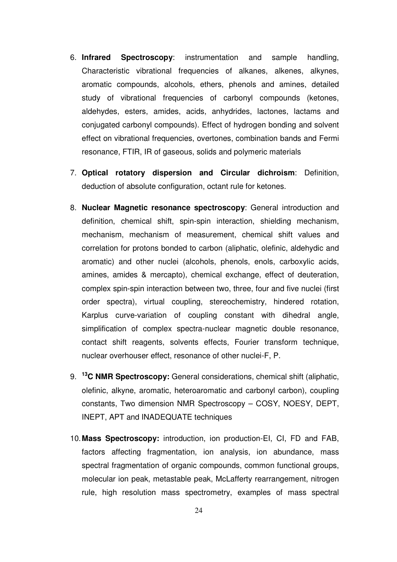- 6. **Infrared Spectroscopy**: instrumentation and sample handling, Characteristic vibrational frequencies of alkanes, alkenes, alkynes, aromatic compounds, alcohols, ethers, phenols and amines, detailed study of vibrational frequencies of carbonyl compounds (ketones, aldehydes, esters, amides, acids, anhydrides, lactones, lactams and conjugated carbonyl compounds). Effect of hydrogen bonding and solvent effect on vibrational frequencies, overtones, combination bands and Fermi resonance, FTIR, IR of gaseous, solids and polymeric materials
- 7. **Optical rotatory dispersion and Circular dichroism**: Definition, deduction of absolute configuration, octant rule for ketones.
- 8. **Nuclear Magnetic resonance spectroscopy**: General introduction and definition, chemical shift, spin-spin interaction, shielding mechanism, mechanism, mechanism of measurement, chemical shift values and correlation for protons bonded to carbon (aliphatic, olefinic, aldehydic and aromatic) and other nuclei (alcohols, phenols, enols, carboxylic acids, amines, amides & mercapto), chemical exchange, effect of deuteration, complex spin-spin interaction between two, three, four and five nuclei (first order spectra), virtual coupling, stereochemistry, hindered rotation, Karplus curve-variation of coupling constant with dihedral angle, simplification of complex spectra-nuclear magnetic double resonance, contact shift reagents, solvents effects, Fourier transform technique, nuclear overhouser effect, resonance of other nuclei-F, P.
- 9. **<sup>13</sup>C NMR Spectroscopy:** General considerations, chemical shift (aliphatic, olefinic, alkyne, aromatic, heteroaromatic and carbonyl carbon), coupling constants, Two dimension NMR Spectroscopy – COSY, NOESY, DEPT, INEPT, APT and INADEQUATE techniques
- 10. **Mass Spectroscopy:** introduction, ion production-EI, CI, FD and FAB, factors affecting fragmentation, ion analysis, ion abundance, mass spectral fragmentation of organic compounds, common functional groups, molecular ion peak, metastable peak, McLafferty rearrangement, nitrogen rule, high resolution mass spectrometry, examples of mass spectral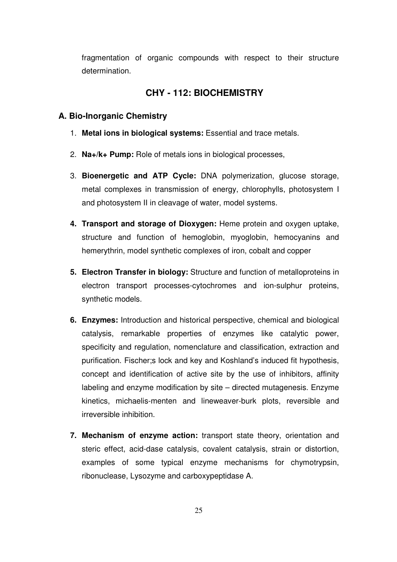fragmentation of organic compounds with respect to their structure determination.

## **CHY - 112: BIOCHEMISTRY**

#### **A. Bio-Inorganic Chemistry**

- 1. **Metal ions in biological systems:** Essential and trace metals.
- 2. **Na+/k+ Pump:** Role of metals ions in biological processes,
- 3. **Bioenergetic and ATP Cycle:** DNA polymerization, glucose storage, metal complexes in transmission of energy, chlorophylls, photosystem I and photosystem II in cleavage of water, model systems.
- **4. Transport and storage of Dioxygen:** Heme protein and oxygen uptake, structure and function of hemoglobin, myoglobin, hemocyanins and hemerythrin, model synthetic complexes of iron, cobalt and copper
- **5. Electron Transfer in biology:** Structure and function of metalloproteins in electron transport processes-cytochromes and ion-sulphur proteins, synthetic models.
- **6. Enzymes:** Introduction and historical perspective, chemical and biological catalysis, remarkable properties of enzymes like catalytic power, specificity and regulation, nomenclature and classification, extraction and purification. Fischer;s lock and key and Koshland's induced fit hypothesis, concept and identification of active site by the use of inhibitors, affinity labeling and enzyme modification by site – directed mutagenesis. Enzyme kinetics, michaelis-menten and lineweaver-burk plots, reversible and irreversible inhibition.
- **7. Mechanism of enzyme action:** transport state theory, orientation and steric effect, acid-dase catalysis, covalent catalysis, strain or distortion, examples of some typical enzyme mechanisms for chymotrypsin, ribonuclease, Lysozyme and carboxypeptidase A.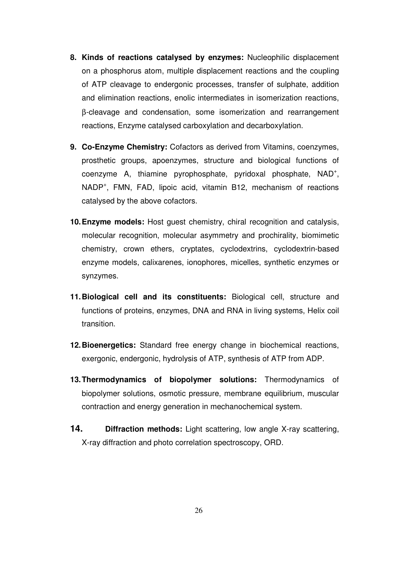- **8. Kinds of reactions catalysed by enzymes:** Nucleophilic displacement on a phosphorus atom, multiple displacement reactions and the coupling of ATP cleavage to endergonic processes, transfer of sulphate, addition and elimination reactions, enolic intermediates in isomerization reactions, β-cleavage and condensation, some isomerization and rearrangement reactions, Enzyme catalysed carboxylation and decarboxylation.
- **9. Co-Enzyme Chemistry:** Cofactors as derived from Vitamins, coenzymes, prosthetic groups, apoenzymes, structure and biological functions of coenzyme A, thiamine pyrophosphate, pyridoxal phosphate, NAD<sup>+</sup>, NADP<sup>+</sup>, FMN, FAD, lipoic acid, vitamin B12, mechanism of reactions catalysed by the above cofactors.
- **10. Enzyme models:** Host guest chemistry, chiral recognition and catalysis, molecular recognition, molecular asymmetry and prochirality, biomimetic chemistry, crown ethers, cryptates, cyclodextrins, cyclodextrin-based enzyme models, calixarenes, ionophores, micelles, synthetic enzymes or synzymes.
- **11. Biological cell and its constituents:** Biological cell, structure and functions of proteins, enzymes, DNA and RNA in living systems, Helix coil transition.
- **12. Bioenergetics:** Standard free energy change in biochemical reactions, exergonic, endergonic, hydrolysis of ATP, synthesis of ATP from ADP.
- **13. Thermodynamics of biopolymer solutions:** Thermodynamics of biopolymer solutions, osmotic pressure, membrane equilibrium, muscular contraction and energy generation in mechanochemical system.
- **14. Diffraction methods:** Light scattering, low angle X-ray scattering, X-ray diffraction and photo correlation spectroscopy, ORD.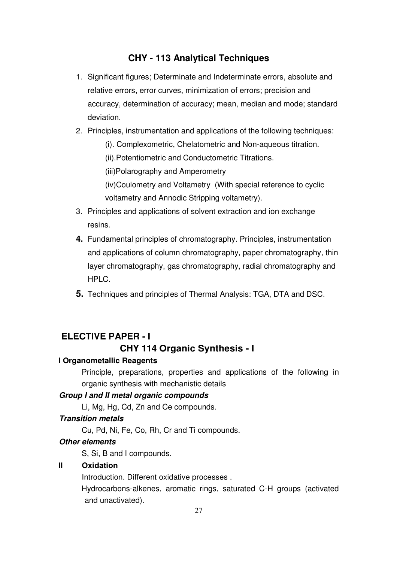## **CHY - 113 Analytical Techniques**

- 1. Significant figures; Determinate and Indeterminate errors, absolute and relative errors, error curves, minimization of errors; precision and accuracy, determination of accuracy; mean, median and mode; standard deviation.
- 2. Principles, instrumentation and applications of the following techniques:
	- (i). Complexometric, Chelatometric and Non-aqueous titration.
	- (ii).Potentiometric and Conductometric Titrations.

(iii)Polarography and Amperometry

(iv)Coulometry and Voltametry (With special reference to cyclic voltametry and Annodic Stripping voltametry).

- 3. Principles and applications of solvent extraction and ion exchange resins.
- **4.** Fundamental principles of chromatography. Principles, instrumentation and applications of column chromatography, paper chromatography, thin layer chromatography, gas chromatography, radial chromatography and HPLC.
- **5.** Techniques and principles of Thermal Analysis: TGA, DTA and DSC.

## **ELECTIVE PAPER - I**

### **CHY 114 Organic Synthesis - I**

#### **I Organometallic Reagents**

Principle, preparations, properties and applications of the following in organic synthesis with mechanistic details

#### **Group I and II metal organic compounds**

Li, Mg, Hg, Cd, Zn and Ce compounds.

#### **Transition metals**

Cu, Pd, Ni, Fe, Co, Rh, Cr and Ti compounds.

#### **Other elements**

S, Si, B and I compounds.

#### **II Oxidation**

Introduction. Different oxidative processes .

Hydrocarbons-alkenes, aromatic rings, saturated C-H groups (activated and unactivated).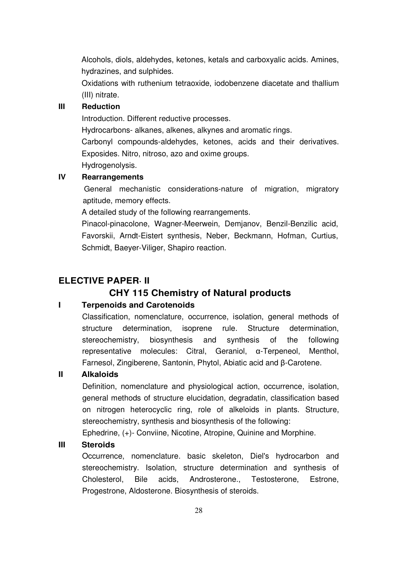Alcohols, diols, aldehydes, ketones, ketals and carboxyalic acids. Amines, hydrazines, and sulphides.

Oxidations with ruthenium tetraoxide, iodobenzene diacetate and thallium (III) nitrate.

## **III Reduction**

Introduction. Different reductive processes.

Hydrocarbons- alkanes, alkenes, alkynes and aromatic rings.

Carbonyl compounds-aldehydes, ketones, acids and their derivatives. Exposides. Nitro, nitroso, azo and oxime groups.

Hydrogenolysis.

## **IV Rearrangements**

General mechanistic considerations-nature of migration, migratory aptitude, memory effects.

A detailed study of the following rearrangements.

Pinacol-pinacolone, Wagner-Meerwein, Demjanov, Benzil-Benzilic acid, Favorskii, Arndt-Eistert synthesis, Neber, Beckmann, Hofman, Curtius, Schmidt, Baeyer-Viliger, Shapiro reaction.

## **ELECTIVE PAPER· II**

# **CHY 115 Chemistry of Natural products**

## **I Terpenoids and Carotenoids**

Classification, nomenclature, occurrence, isolation, general methods of structure determination, isoprene rule. Structure determination, stereochemistry, biosynthesis and synthesis of the following representative molecules: Citral, Geraniol, α-Terpeneol, Menthol, Farnesol, Zingiberene, Santonin, Phytol, Abiatic acid and β-Carotene.

#### **II Alkaloids**

Definition, nomenclature and physiological action, occurrence, isolation, general methods of structure elucidation, degradatin, classification based on nitrogen heterocyclic ring, role of alkeloids in plants. Structure, stereochemistry, synthesis and biosynthesis of the following:

Ephedrine, (+)- Conviine, Nicotine, Atropine, Quinine and Morphine.

#### **III Steroids**

Occurrence, nomenclature. basic skeleton, Diel's hydrocarbon and stereochemistry. Isolation, structure determination and synthesis of Cholesterol, Bile acids, Androsterone., Testosterone, Estrone, Progestrone, Aldosterone. Biosynthesis of steroids.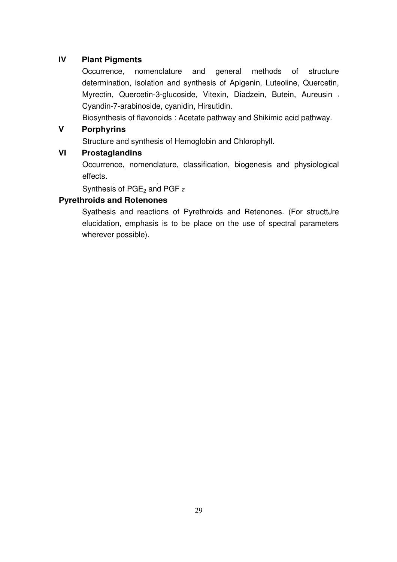## **IV Plant Pigments**

Occurrence, nomenclature and general methods of structure determination, isolation and synthesis of Apigenin, Luteoline, Quercetin, Myrectin, Quercetin-3-glucoside, Vitexin, Diadzein, Butein, Aureusin Cyandin-7-arabinoside, cyanidin, Hirsutidin.

Biosynthesis of flavonoids : Acetate pathway and Shikimic acid pathway.

## **V Porphyrins**

Structure and synthesis of Hemoglobin and Chlorophyll.

## **VI Prostaglandins**

Occurrence, nomenclature, classification, biogenesis and physiological effects.

,  $\frac{1}{2}$ Synthesis of PGE<sub>2</sub> and PGF  $_2$ 

## **Pyrethroids and Rotenones**

Syathesis and reactions of Pyrethroids and Retenones. (For structtJre elucidation, emphasis is to be place on the use of spectral parameters wherever possible).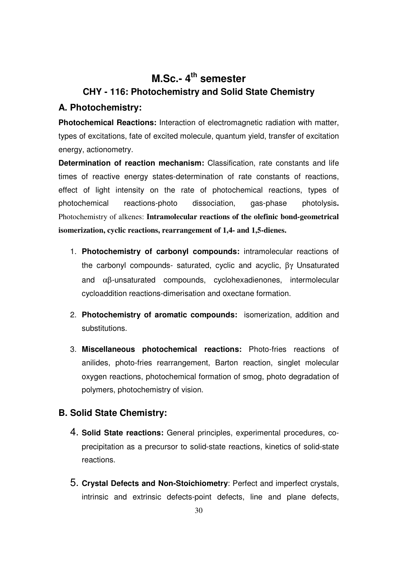# **M.Sc.- 4th semester CHY - 116: Photochemistry and Solid State Chemistry**

## **A. Photochemistry:**

**Photochemical Reactions:** Interaction of electromagnetic radiation with matter, types of excitations, fate of excited molecule, quantum yield, transfer of excitation energy, actionometry.

**Determination of reaction mechanism:** Classification, rate constants and life times of reactive energy states-determination of rate constants of reactions, effect of light intensity on the rate of photochemical reactions, types of photochemical reactions-photo dissociation, gas-phase photolysis**.**  Photochemistry of alkenes: **Intramolecular reactions of the olefinic bond-geometrical isomerization, cyclic reactions, rearrangement of 1,4- and 1,5-dienes.** 

- 1. **Photochemistry of carbonyl compounds:** intramolecular reactions of the carbonyl compounds- saturated, cyclic and acyclic, βγ Unsaturated and αβ-unsaturated compounds, cyclohexadienones, intermolecular cycloaddition reactions-dimerisation and oxectane formation.
- 2. **Photochemistry of aromatic compounds:** isomerization, addition and substitutions.
- 3. **Miscellaneous photochemical reactions:** Photo-fries reactions of anilides, photo-fries rearrangement, Barton reaction, singlet molecular oxygen reactions, photochemical formation of smog, photo degradation of polymers, photochemistry of vision.

## **B. Solid State Chemistry:**

- 4. **Solid State reactions:** General principles, experimental procedures, coprecipitation as a precursor to solid-state reactions, kinetics of solid-state reactions.
- 5. **Crystal Defects and Non-Stoichiometry**: Perfect and imperfect crystals, intrinsic and extrinsic defects-point defects, line and plane defects,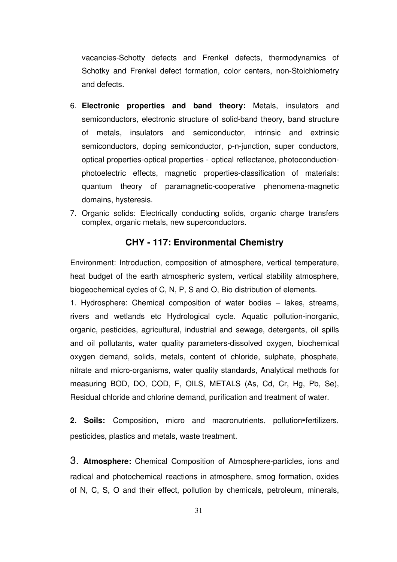vacancies-Schotty defects and Frenkel defects, thermodynamics of Schotky and Frenkel defect formation, color centers, non-Stoichiometry and defects.

- 6. **Electronic properties and band theory:** Metals, insulators and semiconductors, electronic structure of solid-band theory, band structure of metals, insulators and semiconductor, intrinsic and extrinsic semiconductors, doping semiconductor, p-n-junction, super conductors, optical properties-optical properties - optical reflectance, photoconductionphotoelectric effects, magnetic properties-classification of materials: quantum theory of paramagnetic-cooperative phenomena-magnetic domains, hysteresis.
- 7. Organic solids: Electrically conducting solids, organic charge transfers complex, organic metals, new superconductors.

## **CHY - 117: Environmental Chemistry**

Environment: Introduction, composition of atmosphere, vertical temperature, heat budget of the earth atmospheric system, vertical stability atmosphere, biogeochemical cycles of C, N, P, S and O, Bio distribution of elements.

1. Hydrosphere: Chemical composition of water bodies – lakes, streams, rivers and wetlands etc Hydrological cycle. Aquatic pollution-inorganic, organic, pesticides, agricultural, industrial and sewage, detergents, oil spills and oil pollutants, water quality parameters-dissolved oxygen, biochemical oxygen demand, solids, metals, content of chloride, sulphate, phosphate, nitrate and micro-organisms, water quality standards, Analytical methods for measuring BOD, DO, COD, F, OILS, METALS (As, Cd, Cr, Hg, Pb, Se), Residual chloride and chlorine demand, purification and treatment of water.

**2. Soils:** Composition, micro and macronutrients, pollution**-**fertilizers, pesticides, plastics and metals, waste treatment.

3. **Atmosphere:** Chemical Composition of Atmosphere-particles, ions and radical and photochemical reactions in atmosphere, smog formation, oxides of N, C, S, O and their effect, pollution by chemicals, petroleum, minerals,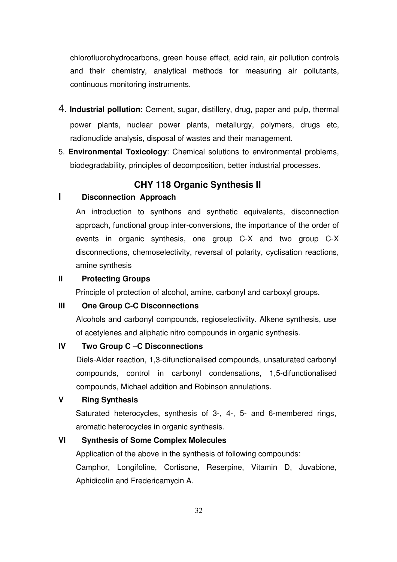chlorofluorohydrocarbons, green house effect, acid rain, air pollution controls and their chemistry, analytical methods for measuring air pollutants, continuous monitoring instruments.

- 4. **Industrial pollution:** Cement, sugar, distillery, drug, paper and pulp, thermal power plants, nuclear power plants, metallurgy, polymers, drugs etc, radionuclide analysis, disposal of wastes and their management.
- 5. **Environmental Toxicology**: Chemical solutions to environmental problems, biodegradability, principles of decomposition, better industrial processes.

## **CHY 118 Organic Synthesis II**

## **I Disconnection Approach**

An introduction to synthons and synthetic equivalents, disconnection approach, functional group inter-conversions, the importance of the order of events in organic synthesis, one group C-X and two group C-X disconnections, chemoselectivity, reversal of polarity, cyclisation reactions, amine synthesis

#### **II Protecting Groups**

Principle of protection of alcohol, amine, carbonyl and carboxyl groups.

#### **III One Group C-C Disconnections**

Alcohols and carbonyl compounds, regioselectiviity. Alkene synthesis, use of acetylenes and aliphatic nitro compounds in organic synthesis.

#### **IV Two Group C –C Disconnections**

Diels-Alder reaction, 1,3-difunctionalised compounds, unsaturated carbonyl compounds, control in carbonyl condensations, 1,5-difunctionalised compounds, Michael addition and Robinson annulations.

### **V Ring Synthesis**

Saturated heterocycles, synthesis of 3-, 4-, 5- and 6-membered rings, aromatic heterocycles in organic synthesis.

#### **VI Synthesis of Some Complex Molecules**

Application of the above in the synthesis of following compounds:

Camphor, Longifoline, Cortisone, Reserpine, Vitamin D, Juvabione, Aphidicolin and Fredericamycin A.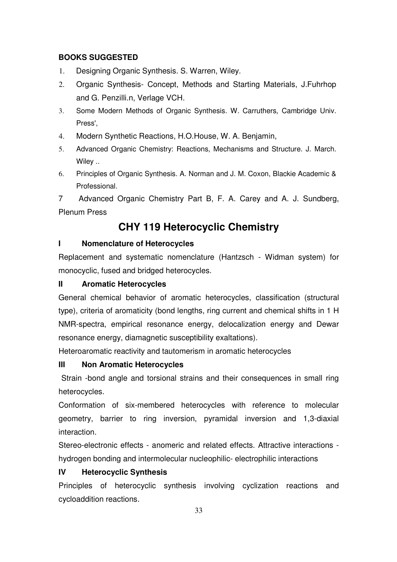## **BOOKS SUGGESTED**

- 1. Designing Organic Synthesis. S. Warren, Wiley.
- 2. Organic Synthesis- Concept, Methods and Starting Materials, J.Fuhrhop and G. Penzilli.n, Verlage VCH.
- 3. Some Modern Methods of Organic Synthesis. W. Carruthers, Cambridge Univ. Press',
- 4. Modern Synthetic Reactions, H.O.House, W. A. Benjamin,
- 5. Advanced Organic Chemistry: Reactions, Mechanisms and Structure. J. March. Wiley ..
- 6. Principles of Organic Synthesis. A. Norman and J. M. Coxon, Blackie Academic & Professional.

7 Advanced Organic Chemistry Part B, F. A. Carey and A. J. Sundberg, Plenum Press

# **CHY 119 Heterocyclic Chemistry**

## **I Nomenclature of Heterocycles**

Replacement and systematic nomenclature (Hantzsch - Widman system) for monocyclic, fused and bridged heterocycles.

## **II Aromatic Heterocycles**

General chemical behavior of aromatic heterocycles, classification (structural type), criteria of aromaticity (bond lengths, ring current and chemical shifts in 1 H NMR-spectra, empirical resonance energy, delocalization energy and Dewar resonance energy, diamagnetic susceptibility exaltations).

Heteroaromatic reactivity and tautomerism in aromatic heterocycles

## **III Non Aromatic Heterocycles**

Strain -bond angle and torsional strains and their consequences in small ring heterocycles.

Conformation of six-membered heterocycles with reference to molecular geometry, barrier to ring inversion, pyramidal inversion and 1,3-diaxial interaction.

Stereo-electronic effects - anomeric and related effects. Attractive interactions hydrogen bonding and intermolecular nucleophilic- electrophilic interactions

## **IV Heterocyclic Synthesis**

Principles of heterocyclic synthesis involving cyclization reactions and cycloaddition reactions.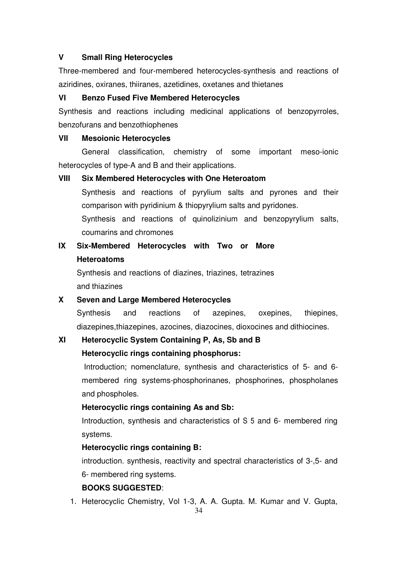## **V Small Ring Heterocycles**

Three-membered and four-membered heterocycles-synthesis and reactions of aziridines, oxiranes, thiiranes, azetidines, oxetanes and thietanes

## **VI Benzo Fused Five Membered Heterocycles**

Synthesis and reactions including medicinal applications of benzopyrroles, benzofurans and benzothiophenes

### **VII Mesoionic Heterocycles**

General classification, chemistry of some important meso-ionic heterocycles of type-A and B and their applications.

## **VIII Six Membered Heterocycles with One Heteroatom**

Synthesis and reactions of pyrylium salts and pyrones and their comparison with pyridinium & thiopyrylium salts and pyridones.

Synthesis and reactions of quinolizinium and benzopyrylium salts, coumarins and chromones

# **IX Six-Membered Heterocycles with Two or More Heteroatoms**

Synthesis and reactions of diazines, triazines, tetrazines and thiazines

## **X Seven and Large Membered Heterocycles**

Synthesis and reactions of azepines, oxepines, thiepines, diazepines,thiazepines, azocines, diazocines, dioxocines and dithiocines.

## **XI Heterocyclic System Containing P, As, Sb and B**

## **Heterocyclic rings containing phosphorus:**

 Introduction; nomenclature, synthesis and characteristics of 5- and 6 membered ring systems-phosphorinanes, phosphorines, phospholanes and phospholes.

## **Heterocyclic rings containing As and Sb:**

Introduction, synthesis and characteristics of S 5 and 6- membered ring systems.

## **Heterocyclic rings containing B:**

introduction. synthesis, reactivity and spectral characteristics of 3-,5- and 6- membered ring systems.

## **BOOKS SUGGESTED**:

1. Heterocyclic Chemistry, Vol 1-3, A. A. Gupta. M. Kumar and V. Gupta,